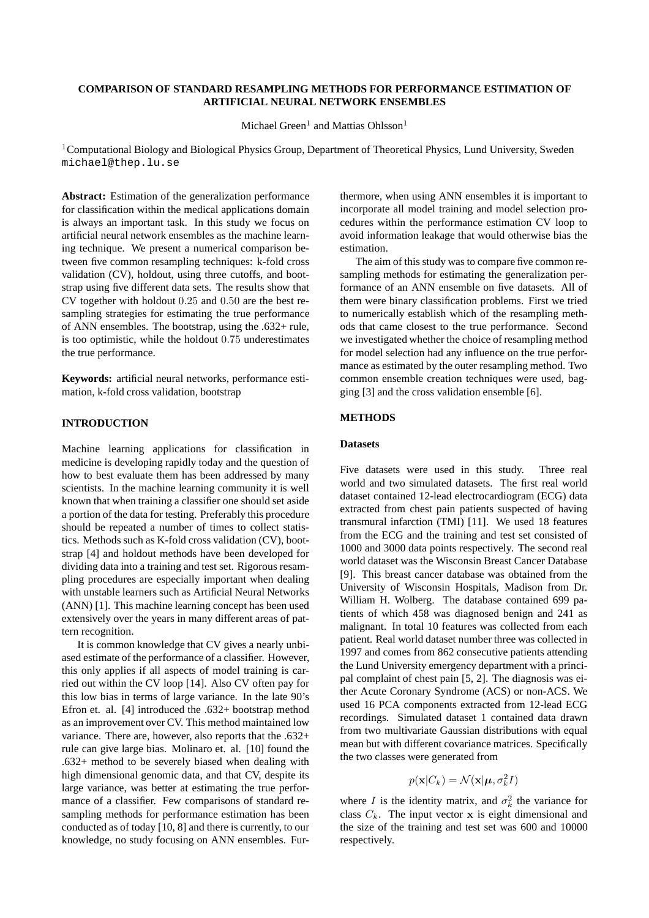# **COMPARISON OF STANDARD RESAMPLING METHODS FOR PERFORMANCE ESTIMATION OF ARTIFICIAL NEURAL NETWORK ENSEMBLES**

Michael Green<sup>1</sup> and Mattias Ohlsson<sup>1</sup>

<sup>1</sup>Computational Biology and Biological Physics Group, Department of Theoretical Physics, Lund University, Sweden michael@thep.lu.se

**Abstract:** Estimation of the generalization performance for classification within the medical applications domain is always an important task. In this study we focus on artificial neural network ensembles as the machine learning technique. We present a numerical comparison between five common resampling techniques: k-fold cross validation (CV), holdout, using three cutoffs, and bootstrap using five different data sets. The results show that CV together with holdout 0.25 and 0.50 are the best resampling strategies for estimating the true performance of ANN ensembles. The bootstrap, using the .632+ rule, is too optimistic, while the holdout 0.75 underestimates the true performance.

**Keywords:** artificial neural networks, performance estimation, k-fold cross validation, bootstrap

# **INTRODUCTION**

Machine learning applications for classification in medicine is developing rapidly today and the question of how to best evaluate them has been addressed by many scientists. In the machine learning community it is well known that when training a classifier one should set aside a portion of the data for testing. Preferably this procedure should be repeated a number of times to collect statistics. Methods such as K-fold cross validation (CV), bootstrap [4] and holdout methods have been developed for dividing data into a training and test set. Rigorous resampling procedures are especially important when dealing with unstable learners such as Artificial Neural Networks (ANN) [1]. This machine learning concept has been used extensively over the years in many different areas of pattern recognition.

It is common knowledge that CV gives a nearly unbiased estimate of the performance of a classifier. However, this only applies if all aspects of model training is carried out within the CV loop [14]. Also CV often pay for this low bias in terms of large variance. In the late 90's Efron et. al. [4] introduced the .632+ bootstrap method as an improvement over CV. This method maintained low variance. There are, however, also reports that the .632+ rule can give large bias. Molinaro et. al. [10] found the .632+ method to be severely biased when dealing with high dimensional genomic data, and that CV, despite its large variance, was better at estimating the true performance of a classifier. Few comparisons of standard resampling methods for performance estimation has been conducted as of today [10, 8] and there is currently, to our knowledge, no study focusing on ANN ensembles. Furthermore, when using ANN ensembles it is important to incorporate all model training and model selection procedures within the performance estimation CV loop to avoid information leakage that would otherwise bias the estimation.

The aim of this study was to compare five common resampling methods for estimating the generalization performance of an ANN ensemble on five datasets. All of them were binary classification problems. First we tried to numerically establish which of the resampling methods that came closest to the true performance. Second we investigated whether the choice of resampling method for model selection had any influence on the true performance as estimated by the outer resampling method. Two common ensemble creation techniques were used, bagging [3] and the cross validation ensemble [6].

#### **METHODS**

### **Datasets**

Five datasets were used in this study. Three real world and two simulated datasets. The first real world dataset contained 12-lead electrocardiogram (ECG) data extracted from chest pain patients suspected of having transmural infarction (TMI) [11]. We used 18 features from the ECG and the training and test set consisted of 1000 and 3000 data points respectively. The second real world dataset was the Wisconsin Breast Cancer Database [9]. This breast cancer database was obtained from the University of Wisconsin Hospitals, Madison from Dr. William H. Wolberg. The database contained 699 patients of which 458 was diagnosed benign and 241 as malignant. In total 10 features was collected from each patient. Real world dataset number three was collected in 1997 and comes from 862 consecutive patients attending the Lund University emergency department with a principal complaint of chest pain [5, 2]. The diagnosis was either Acute Coronary Syndrome (ACS) or non-ACS. We used 16 PCA components extracted from 12-lead ECG recordings. Simulated dataset 1 contained data drawn from two multivariate Gaussian distributions with equal mean but with different covariance matrices. Specifically the two classes were generated from

$$
p(\mathbf{x}|C_k) = \mathcal{N}(\mathbf{x}|\boldsymbol{\mu}, \sigma_k^2 I)
$$

where *I* is the identity matrix, and  $\sigma_k^2$  the variance for class  $C_k$ . The input vector x is eight dimensional and the size of the training and test set was 600 and 10000 respectively.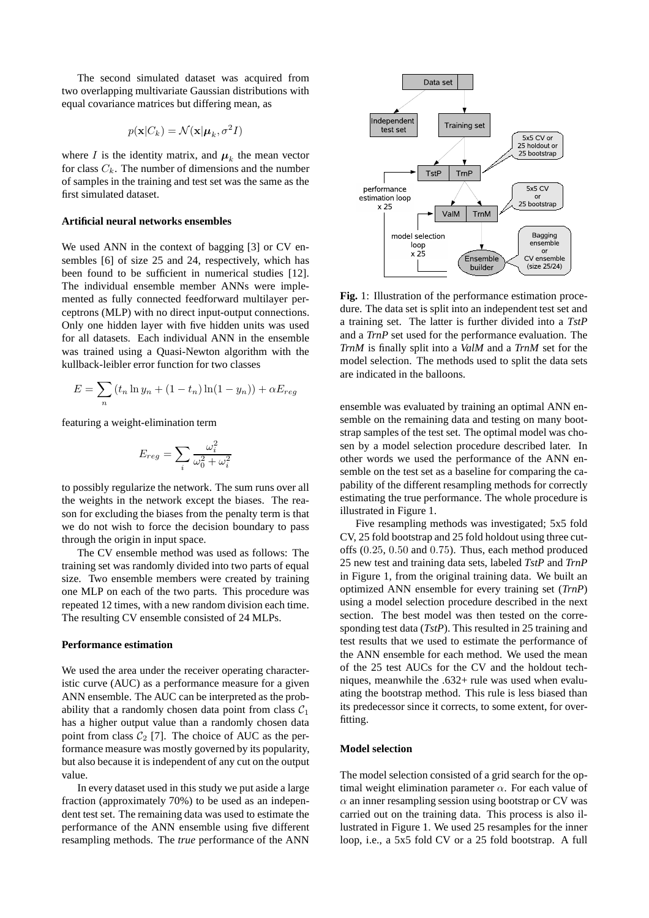The second simulated dataset was acquired from two overlapping multivariate Gaussian distributions with equal covariance matrices but differing mean, as

$$
p(\mathbf{x}|C_k) = \mathcal{N}(\mathbf{x}|\boldsymbol{\mu}_k, \sigma^2 I)
$$

where I is the identity matrix, and  $\mu_k$  the mean vector for class  $C_k$ . The number of dimensions and the number of samples in the training and test set was the same as the first simulated dataset.

## **Artificial neural networks ensembles**

We used ANN in the context of bagging [3] or CV ensembles [6] of size 25 and 24, respectively, which has been found to be sufficient in numerical studies [12]. The individual ensemble member ANNs were implemented as fully connected feedforward multilayer perceptrons (MLP) with no direct input-output connections. Only one hidden layer with five hidden units was used for all datasets. Each individual ANN in the ensemble was trained using a Quasi-Newton algorithm with the kullback-leibler error function for two classes

$$
E = \sum_{n} (t_n \ln y_n + (1 - t_n) \ln(1 - y_n)) + \alpha E_{reg}
$$

featuring a weight-elimination term

$$
E_{reg} = \sum_{i} \frac{\omega_i^2}{\omega_0^2 + \omega_i^2}
$$

to possibly regularize the network. The sum runs over all the weights in the network except the biases. The reason for excluding the biases from the penalty term is that we do not wish to force the decision boundary to pass through the origin in input space.

The CV ensemble method was used as follows: The training set was randomly divided into two parts of equal size. Two ensemble members were created by training one MLP on each of the two parts. This procedure was repeated 12 times, with a new random division each time. The resulting CV ensemble consisted of 24 MLPs.

#### **Performance estimation**

We used the area under the receiver operating characteristic curve (AUC) as a performance measure for a given ANN ensemble. The AUC can be interpreted as the probability that a randomly chosen data point from class  $C_1$ has a higher output value than a randomly chosen data point from class  $C_2$  [7]. The choice of AUC as the performance measure was mostly governed by its popularity, but also because it is independent of any cut on the output value.

In every dataset used in this study we put aside a large fraction (approximately 70%) to be used as an independent test set. The remaining data was used to estimate the performance of the ANN ensemble using five different resampling methods. The *true* performance of the ANN



**Fig.** 1: Illustration of the performance estimation procedure. The data set is split into an independent test set and a training set. The latter is further divided into a *TstP* and a *TrnP* set used for the performance evaluation. The *TrnM* is finally split into a *ValM* and a *TrnM* set for the model selection. The methods used to split the data sets are indicated in the balloons.

ensemble was evaluated by training an optimal ANN ensemble on the remaining data and testing on many bootstrap samples of the test set. The optimal model was chosen by a model selection procedure described later. In other words we used the performance of the ANN ensemble on the test set as a baseline for comparing the capability of the different resampling methods for correctly estimating the true performance. The whole procedure is illustrated in Figure 1.

Five resampling methods was investigated; 5x5 fold CV, 25 fold bootstrap and 25 fold holdout using three cutoffs (0.25, 0.50 and 0.75). Thus, each method produced 25 new test and training data sets, labeled *TstP* and *TrnP* in Figure 1, from the original training data. We built an optimized ANN ensemble for every training set (*TrnP*) using a model selection procedure described in the next section. The best model was then tested on the corresponding test data (*TstP*). This resulted in 25 training and test results that we used to estimate the performance of the ANN ensemble for each method. We used the mean of the 25 test AUCs for the CV and the holdout techniques, meanwhile the .632+ rule was used when evaluating the bootstrap method. This rule is less biased than its predecessor since it corrects, to some extent, for overfitting.

### **Model selection**

The model selection consisted of a grid search for the optimal weight elimination parameter  $\alpha$ . For each value of  $\alpha$  an inner resampling session using bootstrap or CV was carried out on the training data. This process is also illustrated in Figure 1. We used 25 resamples for the inner loop, i.e., a 5x5 fold CV or a 25 fold bootstrap. A full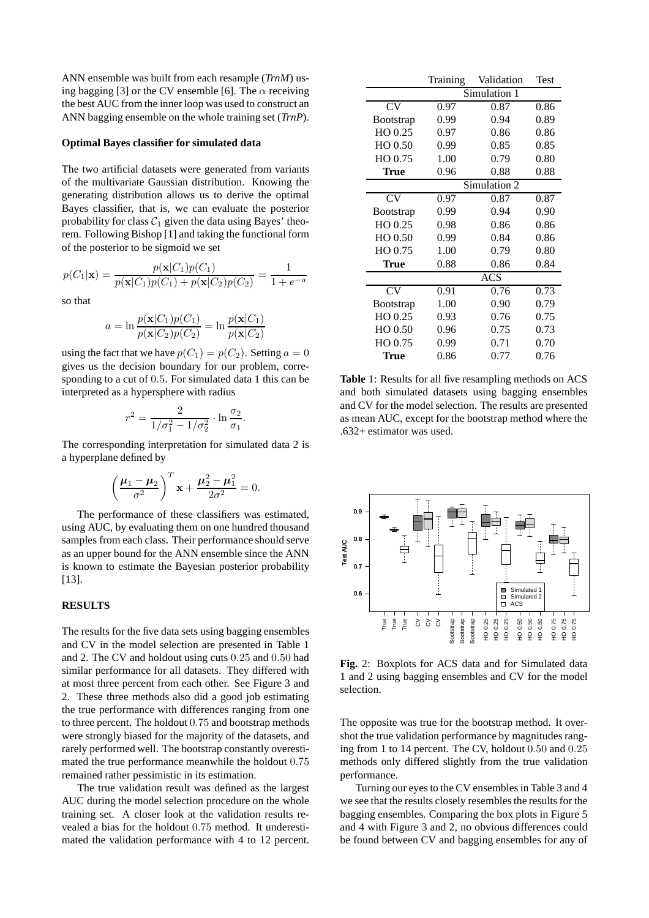ANN ensemble was built from each resample (*TrnM*) using bagging [3] or the CV ensemble [6]. The  $\alpha$  receiving the best AUC from the inner loop was used to construct an ANN bagging ensemble on the whole training set (*TrnP*).

#### **Optimal Bayes classifier for simulated data**

The two artificial datasets were generated from variants of the multivariate Gaussian distribution. Knowing the generating distribution allows us to derive the optimal Bayes classifier, that is, we can evaluate the posterior probability for class  $C_1$  given the data using Bayes' theorem. Following Bishop [1] and taking the functional form of the posterior to be sigmoid we set

$$
p(C_1|\mathbf{x}) = \frac{p(\mathbf{x}|C_1)p(C_1)}{p(\mathbf{x}|C_1)p(C_1) + p(\mathbf{x}|C_2)p(C_2)} = \frac{1}{1 + e^{-a}}
$$

so that

$$
a = \ln \frac{p(\mathbf{x}|C_1)p(C_1)}{p(\mathbf{x}|C_2)p(C_2)} = \ln \frac{p(\mathbf{x}|C_1)}{p(\mathbf{x}|C_2)}
$$

using the fact that we have  $p(C_1) = p(C_2)$ . Setting  $a = 0$ gives us the decision boundary for our problem, corresponding to a cut of 0.5. For simulated data 1 this can be interpreted as a hypersphere with radius

$$
r^2 = \frac{2}{1/\sigma_1^2 - 1/\sigma_2^2} \cdot \ln \frac{\sigma_2}{\sigma_1}.
$$

The corresponding interpretation for simulated data 2 is a hyperplane defined by

$$
\left(\frac{\mu_1 - \mu_2}{\sigma^2}\right)^T \mathbf{x} + \frac{\mu_2^2 - \mu_1^2}{2\sigma^2} = 0.
$$

The performance of these classifiers was estimated, using AUC, by evaluating them on one hundred thousand samples from each class. Their performance should serve as an upper bound for the ANN ensemble since the ANN is known to estimate the Bayesian posterior probability [13].

### **RESULTS**

The results for the five data sets using bagging ensembles and CV in the model selection are presented in Table 1 and 2. The CV and holdout using cuts 0.25 and 0.50 had similar performance for all datasets. They differed with at most three percent from each other. See Figure 3 and 2. These three methods also did a good job estimating the true performance with differences ranging from one to three percent. The holdout 0.75 and bootstrap methods were strongly biased for the majority of the datasets, and rarely performed well. The bootstrap constantly overestimated the true performance meanwhile the holdout 0.75 remained rather pessimistic in its estimation.

The true validation result was defined as the largest AUC during the model selection procedure on the whole training set. A closer look at the validation results revealed a bias for the holdout 0.75 method. It underestimated the validation performance with 4 to 12 percent.

|                   | Training     | Validation | Test |
|-------------------|--------------|------------|------|
|                   | Simulation 1 |            |      |
| CV                | 0.97         | 0.87       | 0.86 |
| <b>B</b> ootstrap | 0.99         | 0.94       | 0.89 |
| HO 0.25           | 0.97         | 0.86       | 0.86 |
| HO 0.50           | 0.99         | 0.85       | 0.85 |
| HO 0.75           | 1.00         | 0.79       | 0.80 |
| <b>True</b>       | 0.96         | 0.88       | 0.88 |
|                   | Simulation 2 |            |      |
| CV                | 0.97         | 0.87       | 0.87 |
| <b>B</b> ootstrap | 0.99         | 0.94       | 0.90 |
| HO 0.25           | 0.98         | 0.86       | 0.86 |
| HO 0.50           | 0.99         | 0.84       | 0.86 |
| HO 0.75           | 1.00         | 0.79       | 0.80 |
| <b>True</b>       | 0.88         | 0.86       | 0.84 |
|                   | <b>ACS</b>   |            |      |
| CV                | 0.91         | 0.76       | 0.73 |
| <b>B</b> ootstrap | 1.00         | 0.90       | 0.79 |
| HO 0.25           | 0.93         | 0.76       | 0.75 |
| HO 0.50           | 0.96         | 0.75       | 0.73 |
| HO 0.75           | 0.99         | 0.71       | 0.70 |
| <b>True</b>       | 0.86         | 0.77       | 0.76 |

**Table** 1: Results for all five resampling methods on ACS and both simulated datasets using bagging ensembles and CV for the model selection. The results are presented as mean AUC, except for the bootstrap method where the .632+ estimator was used.



**Fig.** 2: Boxplots for ACS data and for Simulated data 1 and 2 using bagging ensembles and CV for the model selection.

The opposite was true for the bootstrap method. It overshot the true validation performance by magnitudes ranging from 1 to 14 percent. The CV, holdout 0.50 and 0.25 methods only differed slightly from the true validation performance.

Turning our eyes to the CV ensembles in Table 3 and 4 we see that the results closely resembles the results for the bagging ensembles. Comparing the box plots in Figure 5 and 4 with Figure 3 and 2, no obvious differences could be found between CV and bagging ensembles for any of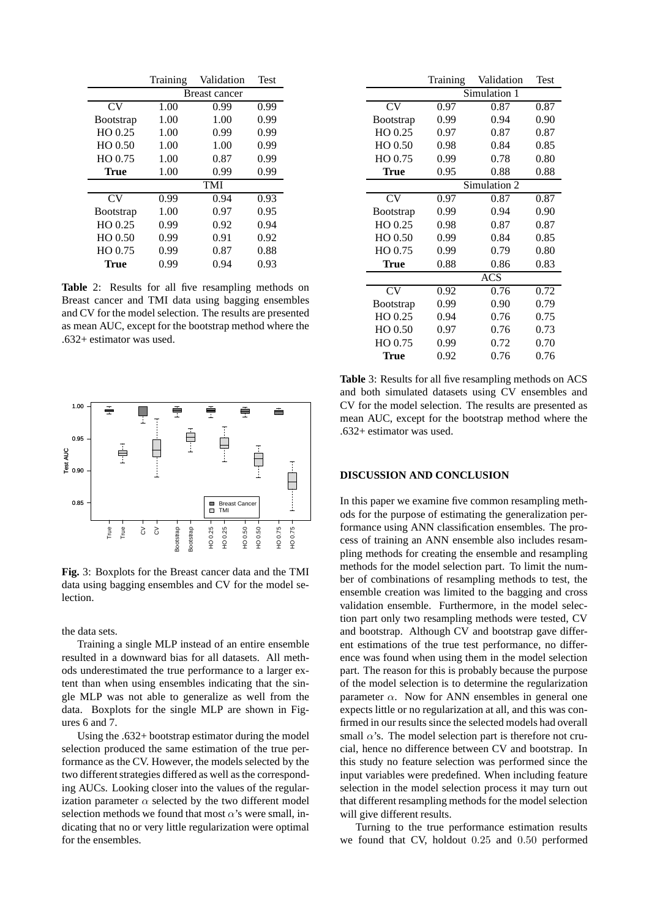|                   | Training      | Validation | <b>Test</b> |
|-------------------|---------------|------------|-------------|
|                   | Breast cancer |            |             |
| CV                | 1.00          | 0.99       | 0.99        |
| <b>B</b> ootstrap | 1.00          | 1.00       | 0.99        |
| HO 0.25           | 1.00          | 0.99       | 0.99        |
| $HO$ $0.50$       | 1.00          | 1.00       | 0.99        |
| HO 0.75           | 1.00          | 0.87       | 0.99        |
| True              | 1.00          | 0.99       | 0.99        |
|                   | <b>TMI</b>    |            |             |
| CV                | 0.99          | 0.94       | 0.93        |
| <b>B</b> ootstrap | 1.00          | 0.97       | 0.95        |
| $HO$ 0.25         | 0.99          | 0.92       | 0.94        |
| $HO$ $0.50$       | 0.99          | 0.91       | 0.92        |
| HO 0.75           | 0.99          | 0.87       | 0.88        |
| True              | 0.99          | 0.94       | 0.93        |

**Table** 2: Results for all five resampling methods on Breast cancer and TMI data using bagging ensembles and CV for the model selection. The results are presented as mean AUC, except for the bootstrap method where the .632+ estimator was used.



**Fig.** 3: Boxplots for the Breast cancer data and the TMI data using bagging ensembles and CV for the model selection.

the data sets.

Training a single MLP instead of an entire ensemble resulted in a downward bias for all datasets. All methods underestimated the true performance to a larger extent than when using ensembles indicating that the single MLP was not able to generalize as well from the data. Boxplots for the single MLP are shown in Figures 6 and 7.

Using the .632+ bootstrap estimator during the model selection produced the same estimation of the true performance as the CV. However, the models selected by the two different strategies differed as well as the corresponding AUCs. Looking closer into the values of the regularization parameter  $\alpha$  selected by the two different model selection methods we found that most  $\alpha$ 's were small, indicating that no or very little regularization were optimal for the ensembles.

|                   | Training     | Validation | Test |
|-------------------|--------------|------------|------|
|                   | Simulation 1 |            |      |
| CV                | 0.97         | 0.87       | 0.87 |
| <b>B</b> ootstrap | 0.99         | 0.94       | 0.90 |
| HO 0.25           | 0.97         | 0.87       | 0.87 |
| HO 0.50           | 0.98         | 0.84       | 0.85 |
| HO 0.75           | 0.99         | 0.78       | 0.80 |
| True              | 0.95         | 0.88       | 0.88 |
|                   | Simulation 2 |            |      |
| CV                | 0.97         | 0.87       | 0.87 |
| <b>B</b> ootstrap | 0.99         | 0.94       | 0.90 |
| HO 0.25           | 0.98         | 0.87       | 0.87 |
| HO 0.50           | 0.99         | 0.84       | 0.85 |
| HO 0.75           | 0.99         | 0.79       | 0.80 |
| <b>True</b>       | 0.88         | 0.86       | 0.83 |
|                   | <b>ACS</b>   |            |      |
| CV                | 0.92         | 0.76       | 0.72 |
| <b>B</b> ootstrap | 0.99         | 0.90       | 0.79 |
| HO 0.25           | 0.94         | 0.76       | 0.75 |
| HO 0.50           | 0.97         | 0.76       | 0.73 |
| HO 0.75           | 0.99         | 0.72       | 0.70 |
| <b>True</b>       | 0.92         | 0.76       | 0.76 |

**Table** 3: Results for all five resampling methods on ACS and both simulated datasets using CV ensembles and CV for the model selection. The results are presented as mean AUC, except for the bootstrap method where the .632+ estimator was used.

# **DISCUSSION AND CONCLUSION**

In this paper we examine five common resampling methods for the purpose of estimating the generalization performance using ANN classification ensembles. The process of training an ANN ensemble also includes resampling methods for creating the ensemble and resampling methods for the model selection part. To limit the number of combinations of resampling methods to test, the ensemble creation was limited to the bagging and cross validation ensemble. Furthermore, in the model selection part only two resampling methods were tested, CV and bootstrap. Although CV and bootstrap gave different estimations of the true test performance, no difference was found when using them in the model selection part. The reason for this is probably because the purpose of the model selection is to determine the regularization parameter  $\alpha$ . Now for ANN ensembles in general one expects little or no regularization at all, and this was confirmed in our results since the selected models had overall small  $\alpha$ 's. The model selection part is therefore not crucial, hence no difference between CV and bootstrap. In this study no feature selection was performed since the input variables were predefined. When including feature selection in the model selection process it may turn out that different resampling methods for the model selection will give different results.

Turning to the true performance estimation results we found that CV, holdout 0.25 and 0.50 performed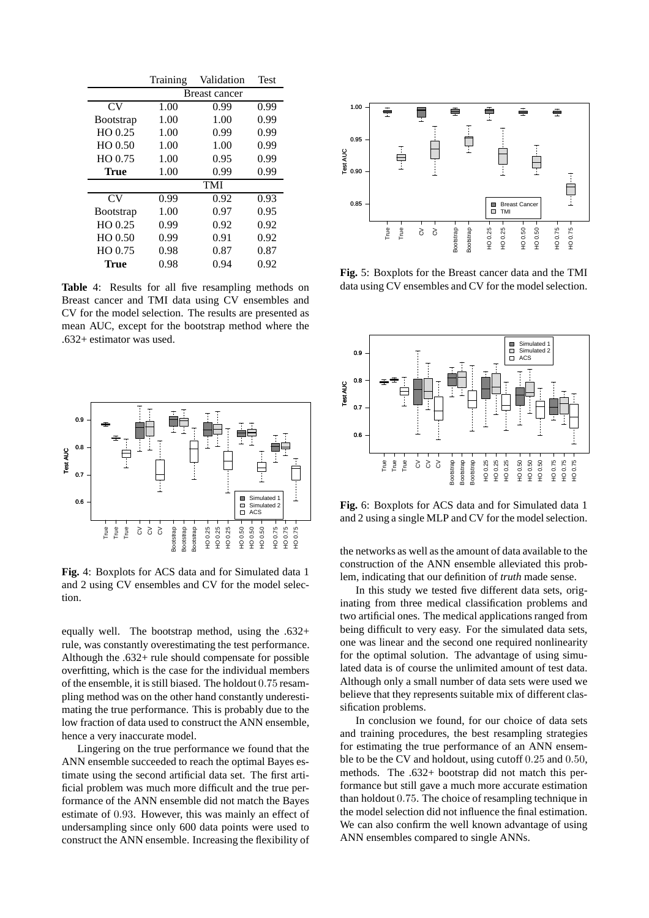|                   | Training             | Validation | <b>Test</b> |
|-------------------|----------------------|------------|-------------|
|                   | <b>Breast cancer</b> |            |             |
| CV <sub></sub>    | 1.00                 | 0.99       | 0.99        |
| <b>B</b> ootstrap | 1.00                 | 1.00       | 0.99        |
| $HO$ 0.25         | 1.00                 | 0.99       | 0.99        |
| $HO$ $0.50$       | 1.00                 | 1.00       | 0.99        |
| HO 0.75           | 1.00                 | 0.95       | 0.99        |
| <b>True</b>       | 1.00                 | 0.99       | 0.99        |
|                   | <b>TMI</b>           |            |             |
| CV <sub></sub>    | 0.99                 | 0.92       | 0.93        |
| <b>B</b> ootstrap | 1.00                 | 0.97       | 0.95        |
| HO 0.25           | 0.99                 | 0.92       | 0.92        |
| $HO$ $0.50$       | 0.99                 | 0.91       | 0.92        |
| HO 0.75           | 0.98                 | 0.87       | 0.87        |
| True              | 0.98                 | 0.94       | 0.92        |

**Table** 4: Results for all five resampling methods on Breast cancer and TMI data using CV ensembles and CV for the model selection. The results are presented as mean AUC, except for the bootstrap method where the .632+ estimator was used.



**Fig.** 4: Boxplots for ACS data and for Simulated data 1 and 2 using CV ensembles and CV for the model selection.

equally well. The bootstrap method, using the .632+ rule, was constantly overestimating the test performance. Although the .632+ rule should compensate for possible overfitting, which is the case for the individual members of the ensemble, it is still biased. The holdout 0.75 resampling method was on the other hand constantly underestimating the true performance. This is probably due to the low fraction of data used to construct the ANN ensemble, hence a very inaccurate model.

Lingering on the true performance we found that the ANN ensemble succeeded to reach the optimal Bayes estimate using the second artificial data set. The first artificial problem was much more difficult and the true performance of the ANN ensemble did not match the Bayes estimate of 0.93. However, this was mainly an effect of undersampling since only 600 data points were used to construct the ANN ensemble. Increasing the flexibility of



**Fig.** 5: Boxplots for the Breast cancer data and the TMI data using CV ensembles and CV for the model selection.



**Fig.** 6: Boxplots for ACS data and for Simulated data 1 and 2 using a single MLP and CV for the model selection.

the networks as well as the amount of data available to the construction of the ANN ensemble alleviated this problem, indicating that our definition of *truth* made sense.

In this study we tested five different data sets, originating from three medical classification problems and two artificial ones. The medical applications ranged from being difficult to very easy. For the simulated data sets, one was linear and the second one required nonlinearity for the optimal solution. The advantage of using simulated data is of course the unlimited amount of test data. Although only a small number of data sets were used we believe that they represents suitable mix of different classification problems.

In conclusion we found, for our choice of data sets and training procedures, the best resampling strategies for estimating the true performance of an ANN ensemble to be the CV and holdout, using cutoff 0.25 and 0.50, methods. The .632+ bootstrap did not match this performance but still gave a much more accurate estimation than holdout 0.75. The choice of resampling technique in the model selection did not influence the final estimation. We can also confirm the well known advantage of using ANN ensembles compared to single ANNs.